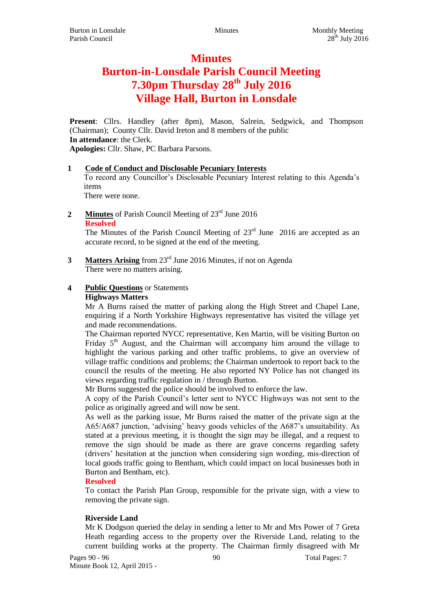# **Minutes Burton-in-Lonsdale Parish Council Meeting 7.30pm Thursday 28th July 2016 Village Hall, Burton in Lonsdale**

**Present**: Cllrs. Handley (after 8pm), Mason, Salrein, Sedgwick, and Thompson (Chairman); County Cllr. David Ireton and 8 members of the public **In attendance**: the Clerk. **Apologies:** Cllr. Shaw, PC Barbara Parsons.

## **1 Code of Conduct and Disclosable Pecuniary Interests**

To record any Councillor's Disclosable Pecuniary Interest relating to this Agenda's items

There were none.

2 **Minutes** of Parish Council Meeting of 23<sup>rd</sup> June 2016 **Resolved**

The Minutes of the Parish Council Meeting of  $23<sup>rd</sup>$  June 2016 are accepted as an accurate record, to be signed at the end of the meeting.

**3 Matters Arising** from 23rd June 2016 Minutes, if not on Agenda There were no matters arising.

## **4 Public Questions** or Statements **Highways Matters**

Mr A Burns raised the matter of parking along the High Street and Chapel Lane, enquiring if a North Yorkshire Highways representative has visited the village yet and made recommendations.

The Chairman reported NYCC representative, Ken Martin, will be visiting Burton on Friday  $5<sup>th</sup>$  August, and the Chairman will accompany him around the village to highlight the various parking and other traffic problems, to give an overview of village traffic conditions and problems; the Chairman undertook to report back to the council the results of the meeting. He also reported NY Police has not changed its views regarding traffic regulation in / through Burton.

Mr Burns suggested the police should be involved to enforce the law.

A copy of the Parish Council's letter sent to NYCC Highways was not sent to the police as originally agreed and will now be sent.

As well as the parking issue, Mr Burns raised the matter of the private sign at the A65/A687 junction, 'advising' heavy goods vehicles of the A687's unsuitability. As stated at a previous meeting, it is thought the sign may be illegal, and a request to remove the sign should be made as there are grave concerns regarding safety (drivers' hesitation at the junction when considering sign wording, mis-direction of local goods traffic going to Bentham, which could impact on local businesses both in Burton and Bentham, etc).

# **Resolved**

To contact the Parish Plan Group, responsible for the private sign, with a view to removing the private sign.

# **Riverside Land**

Mr K Dodgson queried the delay in sending a letter to Mr and Mrs Power of 7 Greta Heath regarding access to the property over the Riverside Land, relating to the current building works at the property. The Chairman firmly disagreed with Mr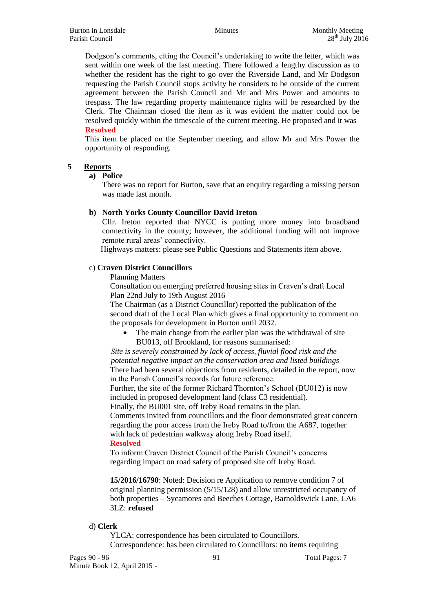Dodgson's comments, citing the Council's undertaking to write the letter, which was sent within one week of the last meeting. There followed a lengthy discussion as to whether the resident has the right to go over the Riverside Land, and Mr Dodgson requesting the Parish Council stops activity he considers to be outside of the current agreement between the Parish Council and Mr and Mrs Power and amounts to trespass. The law regarding property maintenance rights will be researched by the Clerk. The Chairman closed the item as it was evident the matter could not be resolved quickly within the timescale of the current meeting. He proposed and it was **Resolved**

This item be placed on the September meeting, and allow Mr and Mrs Power the opportunity of responding.

# **5 Reports**

#### **a) Police**

There was no report for Burton, save that an enquiry regarding a missing person was made last month.

#### **b) North Yorks County Councillor David Ireton**

Cllr. Ireton reported that NYCC is putting more money into broadband connectivity in the county; however, the additional funding will not improve remote rural areas' connectivity.

Highways matters: please see Public Questions and Statements item above.

#### c) **Craven District Councillors**

Planning Matters

Consultation on emerging preferred housing sites in Craven's draft Local Plan 22nd July to 19th August 2016

The Chairman (as a District Councillor) reported the publication of the second draft of the Local Plan which gives a final opportunity to comment on the proposals for development in Burton until 2032.

 The main change from the earlier plan was the withdrawal of site BU013, off Brookland, for reasons summarised:

*Site is severely constrained by lack of access, fluvial flood risk and the potential negative impact on the conservation area and listed buildings* There had been several objections from residents, detailed in the report, now in the Parish Council's records for future reference.

Further, the site of the former Richard Thornton's School (BU012) is now included in proposed development land (class C3 residential).

Finally, the BU001 site, off Ireby Road remains in the plan.

Comments invited from councillors and the floor demonstrated great concern regarding the poor access from the Ireby Road to/from the A687, together with lack of pedestrian walkway along Ireby Road itself.

#### **Resolved**

To inform Craven District Council of the Parish Council's concerns regarding impact on road safety of proposed site off Ireby Road.

**15/2016/16790**: Noted: Decision re Application to remove condition 7 of original planning permission (5/15/128) and allow unrestricted occupancy of both properties – Sycamores and Beeches Cottage, Barnoldswick Lane, LA6 3LZ: **refused**

#### d) **Clerk**

YLCA: correspondence has been circulated to Councillors. Correspondence: has been circulated to Councillors: no items requiring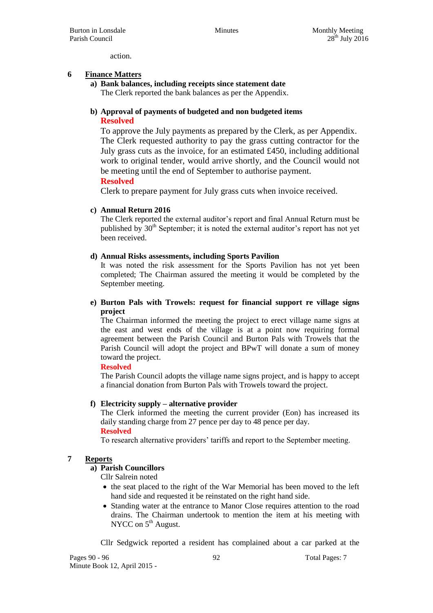action.

## **6 Finance Matters**

#### **a) Bank balances, including receipts since statement date** The Clerk reported the bank balances as per the Appendix.

## **b) Approval of payments of budgeted and non budgeted items Resolved**

To approve the July payments as prepared by the Clerk, as per Appendix. The Clerk requested authority to pay the grass cutting contractor for the July grass cuts as the invoice, for an estimated £450, including additional work to original tender, would arrive shortly, and the Council would not be meeting until the end of September to authorise payment.

#### **Resolved**

Clerk to prepare payment for July grass cuts when invoice received.

#### **c) Annual Return 2016**

The Clerk reported the external auditor's report and final Annual Return must be published by  $30<sup>th</sup>$  September; it is noted the external auditor's report has not vet been received.

## **d) Annual Risks assessments, including Sports Pavilion**

It was noted the risk assessment for the Sports Pavilion has not yet been completed; The Chairman assured the meeting it would be completed by the September meeting.

#### **e) Burton Pals with Trowels: request for financial support re village signs project**

The Chairman informed the meeting the project to erect village name signs at the east and west ends of the village is at a point now requiring formal agreement between the Parish Council and Burton Pals with Trowels that the Parish Council will adopt the project and BPwT will donate a sum of money toward the project.

#### **Resolved**

The Parish Council adopts the village name signs project, and is happy to accept a financial donation from Burton Pals with Trowels toward the project.

#### **f) Electricity supply – alternative provider**

The Clerk informed the meeting the current provider (Eon) has increased its daily standing charge from 27 pence per day to 48 pence per day. **Resolved**

To research alternative providers' tariffs and report to the September meeting.

# **7 Reports**

## **a) Parish Councillors**

Cllr Salrein noted

- the seat placed to the right of the War Memorial has been moved to the left hand side and requested it be reinstated on the right hand side.
- Standing water at the entrance to Manor Close requires attention to the road drains. The Chairman undertook to mention the item at his meeting with NYCC on  $5<sup>th</sup>$  August.

Cllr Sedgwick reported a resident has complained about a car parked at the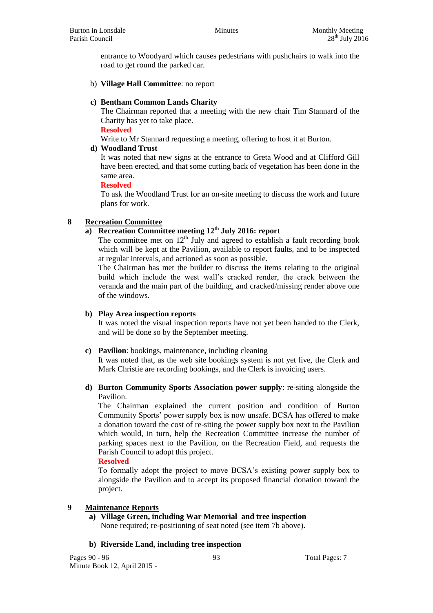entrance to Woodyard which causes pedestrians with pushchairs to walk into the road to get round the parked car.

b) **Village Hall Committee**: no report

## **c) Bentham Common Lands Charity**

The Chairman reported that a meeting with the new chair Tim Stannard of the Charity has yet to take place.

**Resolved**

Write to Mr Stannard requesting a meeting, offering to host it at Burton.

#### **d) Woodland Trust**

It was noted that new signs at the entrance to Greta Wood and at Clifford Gill have been erected, and that some cutting back of vegetation has been done in the same area.

#### **Resolved**

To ask the Woodland Trust for an on-site meeting to discuss the work and future plans for work.

## **8 Recreation Committee**

# **a) Recreation Committee meeting 12th July 2016: report**

The committee met on  $12<sup>th</sup>$  July and agreed to establish a fault recording book which will be kept at the Pavilion, available to report faults, and to be inspected at regular intervals, and actioned as soon as possible.

The Chairman has met the builder to discuss the items relating to the original build which include the west wall's cracked render, the crack between the veranda and the main part of the building, and cracked/missing render above one of the windows.

#### **b) Play Area inspection reports**

It was noted the visual inspection reports have not yet been handed to the Clerk, and will be done so by the September meeting.

#### **c) Pavilion**: bookings, maintenance, including cleaning

It was noted that, as the web site bookings system is not yet live, the Clerk and Mark Christie are recording bookings, and the Clerk is invoicing users.

## **d) Burton Community Sports Association power supply**: re-siting alongside the Pavilion.

The Chairman explained the current position and condition of Burton Community Sports' power supply box is now unsafe. BCSA has offered to make a donation toward the cost of re-siting the power supply box next to the Pavilion which would, in turn, help the Recreation Committee increase the number of parking spaces next to the Pavilion, on the Recreation Field, and requests the Parish Council to adopt this project.

#### **Resolved**

To formally adopt the project to move BCSA's existing power supply box to alongside the Pavilion and to accept its proposed financial donation toward the project.

#### **9 Maintenance Reports**

**a) Village Green, including War Memorial and tree inspection** None required; re-positioning of seat noted (see item 7b above).

#### **b) Riverside Land, including tree inspection**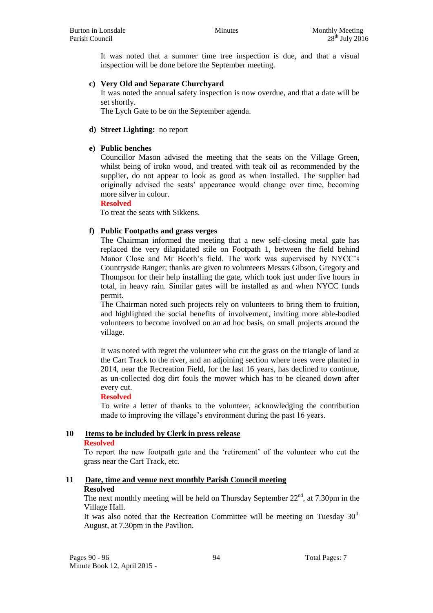It was noted that a summer time tree inspection is due, and that a visual inspection will be done before the September meeting.

## **c) Very Old and Separate Churchyard**

It was noted the annual safety inspection is now overdue, and that a date will be set shortly.

The Lych Gate to be on the September agenda.

#### **d) Street Lighting:** no report

## **e) Public benches**

Councillor Mason advised the meeting that the seats on the Village Green, whilst being of iroko wood, and treated with teak oil as recommended by the supplier, do not appear to look as good as when installed. The supplier had originally advised the seats' appearance would change over time, becoming more silver in colour.

**Resolved**

To treat the seats with Sikkens.

## **f) Public Footpaths and grass verges**

The Chairman informed the meeting that a new self-closing metal gate has replaced the very dilapidated stile on Footpath 1, between the field behind Manor Close and Mr Booth's field. The work was supervised by NYCC's Countryside Ranger; thanks are given to volunteers Messrs Gibson, Gregory and Thompson for their help installing the gate, which took just under five hours in total, in heavy rain. Similar gates will be installed as and when NYCC funds permit.

The Chairman noted such projects rely on volunteers to bring them to fruition, and highlighted the social benefits of involvement, inviting more able-bodied volunteers to become involved on an ad hoc basis, on small projects around the village.

It was noted with regret the volunteer who cut the grass on the triangle of land at the Cart Track to the river, and an adjoining section where trees were planted in 2014, near the Recreation Field, for the last 16 years, has declined to continue, as un-collected dog dirt fouls the mower which has to be cleaned down after every cut.

#### **Resolved**

To write a letter of thanks to the volunteer, acknowledging the contribution made to improving the village's environment during the past 16 years.

# **10 Items to be included by Clerk in press release**

## **Resolved**

To report the new footpath gate and the 'retirement' of the volunteer who cut the grass near the Cart Track, etc.

# **11 Date, time and venue next monthly Parish Council meeting Resolved**

The next monthly meeting will be held on Thursday September  $22<sup>nd</sup>$ , at 7.30pm in the Village Hall.

It was also noted that the Recreation Committee will be meeting on Tuesday  $30<sup>th</sup>$ August, at 7.30pm in the Pavilion.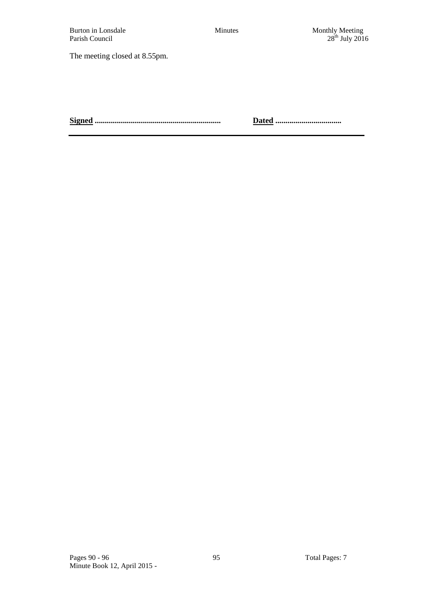The meeting closed at 8.55pm.

**Signed ............................................................... Dated .................................**